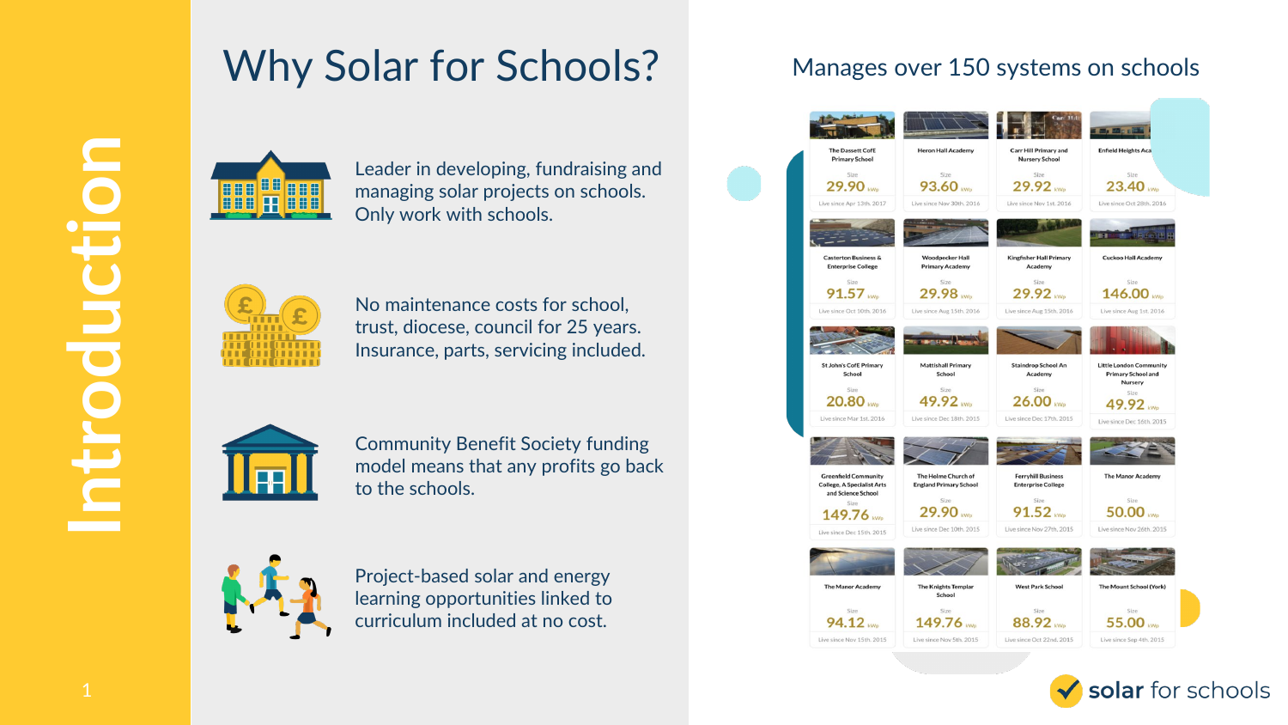### Why Solar for Schools?



Leader in developing, fundraising and managing solar projects on schools. Only work with schools.



No maintenance costs for school, trust, diocese, council for 25 years. Insurance, parts, servicing included.



Community Benefit Society funding model means that any profits go back to the schools.



Project-based solar and energy learning opportunities linked to curriculum included at no cost.

### Manages over 150 systems on schools



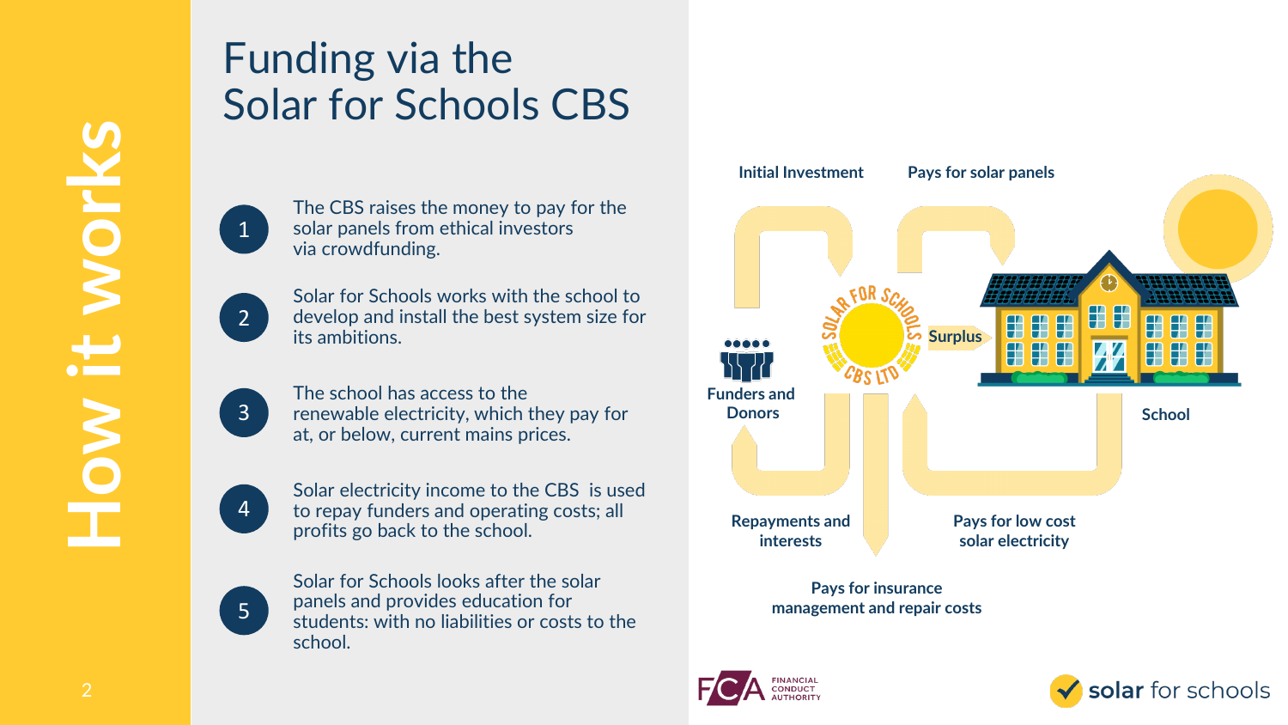## Funding via the Solar for Schools CBS



The CBS raises the money to pay for the solar panels from ethical investors via crowdfunding.



Solar for Schools works with the school to develop and install the best system size for its ambitions.



The school has access to the renewable electricity, which they pay for at, or below, current mains prices.



Solar electricity income to the CBS is used to repay funders and operating costs; all profits go back to the school.



Solar for Schools looks after the solar panels and provides education for students: with no liabilities or costs to the school.



**management and repair costs**



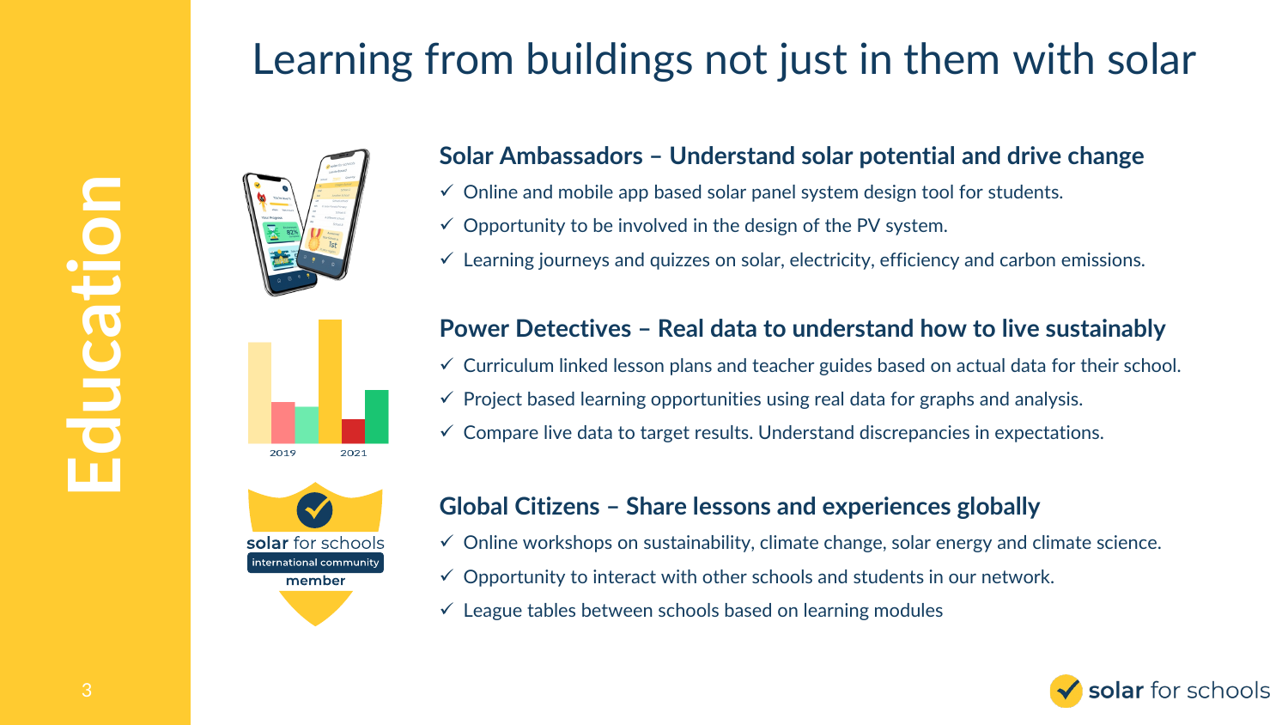# Learning from buildings not just in them with solar





#### **Solar Ambassadors – Understand solar potential and drive change**

- $\checkmark$  Online and mobile app based solar panel system design tool for students.
- $\checkmark$  Opportunity to be involved in the design of the PV system.
- $\checkmark$  Learning journeys and quizzes on solar, electricity, efficiency and carbon emissions.





#### **Power Detectives – Real data to understand how to live sustainably**

- $\checkmark$  Curriculum linked lesson plans and teacher guides based on actual data for their school.
- $\checkmark$  Project based learning opportunities using real data for graphs and analysis.
- $\checkmark$  Compare live data to target results. Understand discrepancies in expectations.

#### **Global Citizens – Share lessons and experiences globally**

- $\checkmark$  Online workshops on sustainability, climate change, solar energy and climate science.
- $\checkmark$  Opportunity to interact with other schools and students in our network.
- $\checkmark$  League tables between schools based on learning modules

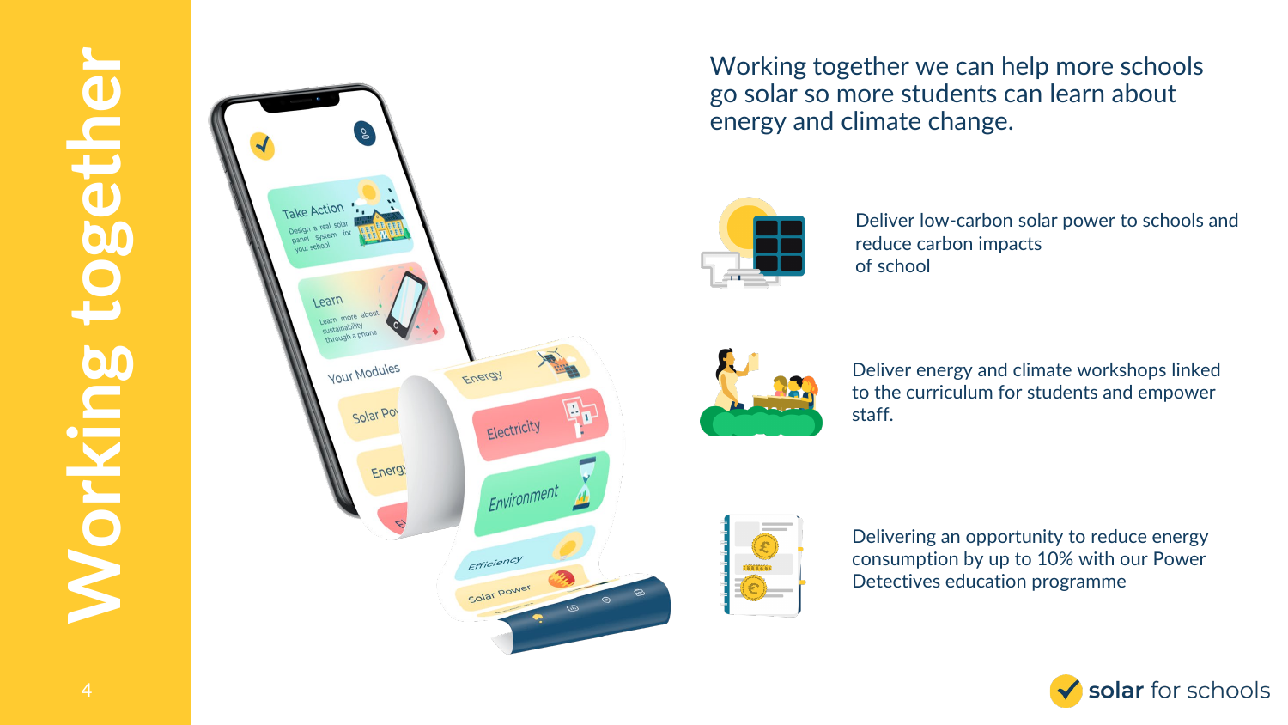

Working together we can help more schools go solar so more students can learn about energy and climate change.



Deliver low -carbon solar power to schools and reduce carbon impacts of school



Deliver energy and climate workshops linked to the curriculum for students and empower staff.



Delivering an opportunity to reduce energy consumption by up to 10% with our Power Detectives education programme